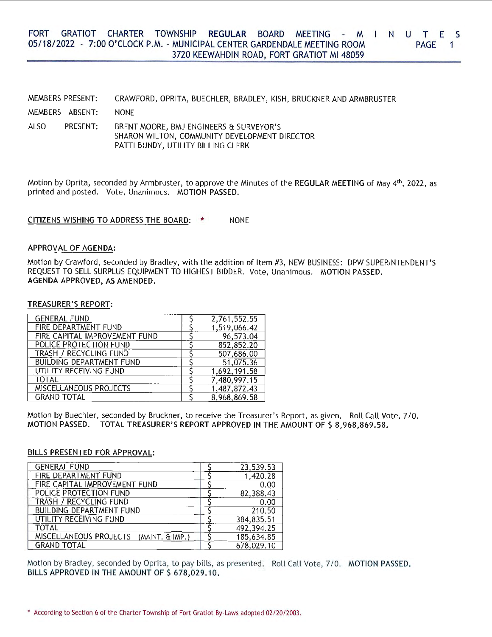#### FORT GRATIOT CHARTER TOWNSHIP **REGULAR** BOARD MEETING - M N U T E S 05/18/ 2022 - 7:00 O'CLOCK P.M. - MUNICIPAL CENTER GARDENDALE MEETING ROOM 3720 KEEWAHDIN ROAD, FORT GRATIOT Ml 48059 PAGE<sub>1</sub>

|      | MEMBERS PRESENT: | CRAWFORD, OPRITA, BUECHLER, BRADLEY, KISH, BRUCKNER AND ARMBRUSTER                                                             |
|------|------------------|--------------------------------------------------------------------------------------------------------------------------------|
|      | MEMBERS ABSENT:  | <b>NONE</b>                                                                                                                    |
| ALSO | PRESENT:         | BRENT MOORE, BMJ ENGINEERS & SURVEYOR'S<br>SHARON WILTON, COMMUNITY DEVELOPMENT DIRECTOR<br>PATTI BUNDY, UTILITY BILLING CLERK |

Motion by Oprita, seconded by Armbruster, to approve the Minutes of the **REGULAR MEETING** of May 4th, 2022, as printed and posted. Vote, Unanimous. **MOTION PASSED.** 

CITIZENS WISHING TO ADDRESS THE BOARD: \* NONE

## **APPROVAL OF AGENDA:**

Motion by Crawford, seconded by Bradley, with the addition of Item #3, NEW BUSINESS: DPW SUPERINTENDENT'S REQUEST TO SELL SURPLUS EQUIPMENT TO HIGHEST BIDDER. Vote, Unanimous. **MOTION PASSED. AGENDA APPROVED, AS AMENDED.** 

### **TREASURER'S REPORT:**

| <b>GENERAL FUND</b>             | 2,761,552.55 |
|---------------------------------|--------------|
| FIRE DEPARTMENT FUND            | 1,519,066.42 |
| FIRE CAPITAL IMPROVEMENT FUND   | 96,573.04    |
| POLICE PROTECTION FUND          | 852,852.20   |
| <b>TRASH / RECYCLING FUND</b>   | 507,686.00   |
| <b>BUILDING DEPARTMENT FUND</b> | 51,075.36    |
| UTILITY RECEIVING FUND          | 1,692,191.58 |
| <b>TOTAL</b>                    | 7,480,997.15 |
| MISCELLANEOUS PROJECTS          | 1.487,872.43 |
| <b>GRAND TOTAL</b>              | 8.968,869.58 |

Motion by Buechler, seconded by Bruckner, to receive the Treasurer's Report, as given. Roll Call Vote, 7/0. **MOTION PASSED. TOTAL TREASURER'S REPORT APPROVED IN THE AMOUNT OF\$ 8,968,869.58.** 

### **BILLS PRESENTED FOR APPROVAL:**

| <b>GENERAL FUND</b>                    | 23,539.53  |
|----------------------------------------|------------|
| FIRE DEPARTMENT FUND                   | 1,420.28   |
| FIRE CAPITAL IMPROVEMENT FUND          | 0.00       |
| POLICE PROTECTION FUND                 | 82,388.43  |
| TRASH / RECYCLING FUND                 | 0.00       |
| <b>BUILDING DEPARTMENT FUND</b>        | 210.50     |
| <b>UTILITY RECEIVING FUND</b>          | 384,835.51 |
| <b>TOTAL</b>                           | 492,394.25 |
| MISCELLANEOUS PROJECTS (MAINT, & IMP.) | 185,634.85 |
| <b>GRAND TOTAL</b>                     | 678,029.10 |

Motion by Bradley, seconded by Oprita, to pay bills, as presented. Roll Call Vote, 7 / 0. **MOTION PASSED.**  BILLS APPROVED IN THE AMOUNT OF \$ 678,029.10.

<sup>•</sup> According to Section 6 of the Charter Township of Fort Gratiot By-Laws adopted 02/20/2003.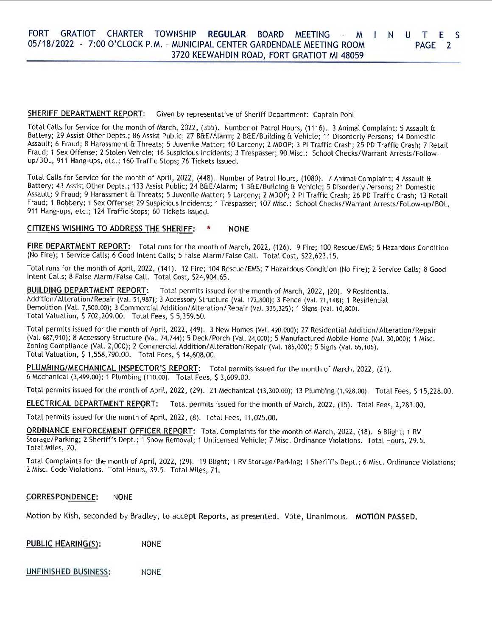#### FORT GRATIOT CHARTER TOWNSHIP REGULAR BOARD MEETING - M I N U T E S 05/18/2022 - 7:00 O'CLOCK P.M. - MUNICIPAL CENTER GARDENDALE MEETING ROOM 3720 KEEWAHDIN ROAD, FORT GRATIOT Ml 48059 PAGE 2

# **SHERIFF DEPARTMENT REPORT:** Given by representative of Sheriff Department: Captain Pohl

Total Calls for Service for the month of March, 2022, (355). Number of Patrol Hours, (1116). 3 Animal Complaint; 5 Assault & Battery; 29 Assist Other Depts.; 86 Assist Public; 27 B&E/ Alarm; 2 B&E/Building & Vehicle; 11 Disorderly Persons; 14 Domestic Assault; 6 Fraud; 8 Harassment & Threats; 5 Juvenile Matter; 10 Larceny; 2 MDOP; 3 Pl Traffic Crash; 25 PD Traffic Crash; 7 Retail Fraud; 1 Sex Offense; 2 Stolen Vehicle; 16 Suspicious Incidents; 3 Trespasser; 90 Misc.: School Checks/Warrant Arrests/Followup/BOL, 911 Hang-ups, etc.; 160 Traffic Stops; 76 Tickets Issued.

Total Calls for Service for the month of April, 2022, (448). Number of Patrol Hours, (1080). 7 Animal Complaint; 4 Assault & Battery; 43 Assist Other Depts.; 133 Assist Public; 24 B&E/Alarm; 1 B&E/Building & Vehicle; 5 Disorderly Persons; 21 Domestic Assault; 9 Fraud; 9 Harassment & Threats; 5 Juvenile Matter; 5 Larceny; 2 MDOP; 2 Pl Traffic Crash; 26 PD Traffic Crash; 13 Retail Fraud; 1 Robbery; 1 Sex Offense; 29 Suspicious Incidents; 1 Trespasser; 107 Misc.: School Checks/Warrant Arrests/Follow-up/BOL, 911 Hang-ups, etc.; 124 Traffic Stops; 60 Tickets Issued.

## **CITIZENS WISHING TO ADDRESS THE SHERIFF:** \* **NONE**

**FIRE DEPARTMENT REPORT:** Total runs for the month of March, 2022, (126). 9 Fire; 100 Rescue/EMS; 5 Hazardous Condition (No Fire); 1 Service Calls; 6 Good Intent Calls; 5 False Alarm/False Call. Total Cost, \$22,623.15.

Total runs for the month of April, 2022, (141). 12 Fire; 104 Rescue/EMS; 7 Hazardous Condition (No Fire); 2 Service Calls; 8 Good Intent Calls; 8 False Alarm/False Call. Total Cost, \$24,904.65.

**BUILDING DEPARTMENT REPORT:** Total permits issued for the month of March, 2022, (20). 9 Residential Addition/ Alteration/Repair (Val. 51,987); 3 Accessory Structure (Val. 172,800); 3 Fence (Val. 21,148); 1 Residential Demolition (Val. 7,500.00); 3 Commercial Addition/ Alteration/Repair (Val. 335,325); 1 Signs (Val. 10,800). Total Valuation, S 702,209.00. Total Fees, S 5,359.50.

Total permits issued for the month of April, 2022, (49). 3 New Homes (Val. 490.000); 27 Residential Addition/ Alteration/Repair (Val. 687,910); 8 Accessory Structure (Val. 74,744); 5 Deck/Porch (Val. 24,000); 5 Manufactured Mobile Home (Val. 30,000); 1 Misc. Zoning Compliance (Val. 2,000); 2 Commercial Addition/ Alteration/Repair (Val. 185,000); 5 Signs (Val. 65,106). Total Valuation, S 1,558,790.00. Total Fees, S 14,608.00.

PLUMBING/MECHANICAL INSPECTOR'S REPORT: Total permits issued for the month of March, 2022, (21). 6 Mechanical (3,499.00); 1 Plumbing (110.00). Total Fees, S 3,609.00.

Total permits issued for the month of April, 2022, (29). 21 Mechanical (13,300.00); 13 Plumbing (1,928.00). Total Fees, S 15,228.00.

**ELECTRICAL DEPARTMENT REPORT:** Total permits issued for the month of March, 2022, (15). Total Fees, 2,283.00.

Total permits issued for the month of April, 2022, (8). Total Fees, 11,025.00.

**ORDINANCE ENFORCEMENT OFFICER REPORT:** Total Complaints for the month of March, 2022, (18). 6 Blight; 1 RV Storage/Parking; 2 Sheriff's Dept.; 1 Snow Removal; 1 Unlicensed Vehicle; 7 Misc. Ordinance Violations. Total Hours, 29.5. Total Miles, 70.

Total Complaints for the month of April, 2022, (29). 19 Blight; 1 RV Storage/Parking; 1 Sheriff's Dept.; 6 Misc. Ordinance Violations; 2 Misc. Code Violations. Total Hours, 39. 5. Total Miles, 71.

## **CORRESPONDENCE:** NONE

Motion by Kish, seconded by Bradley, to accept Reports, as presented. Vote, Unanimous. **MOTION PASSED.** 

| <b>PUBLIC HEARING(S):</b> | <b>NONE</b> |
|---------------------------|-------------|
|---------------------------|-------------|

**UNFINISHED BUSINESS:** NONE